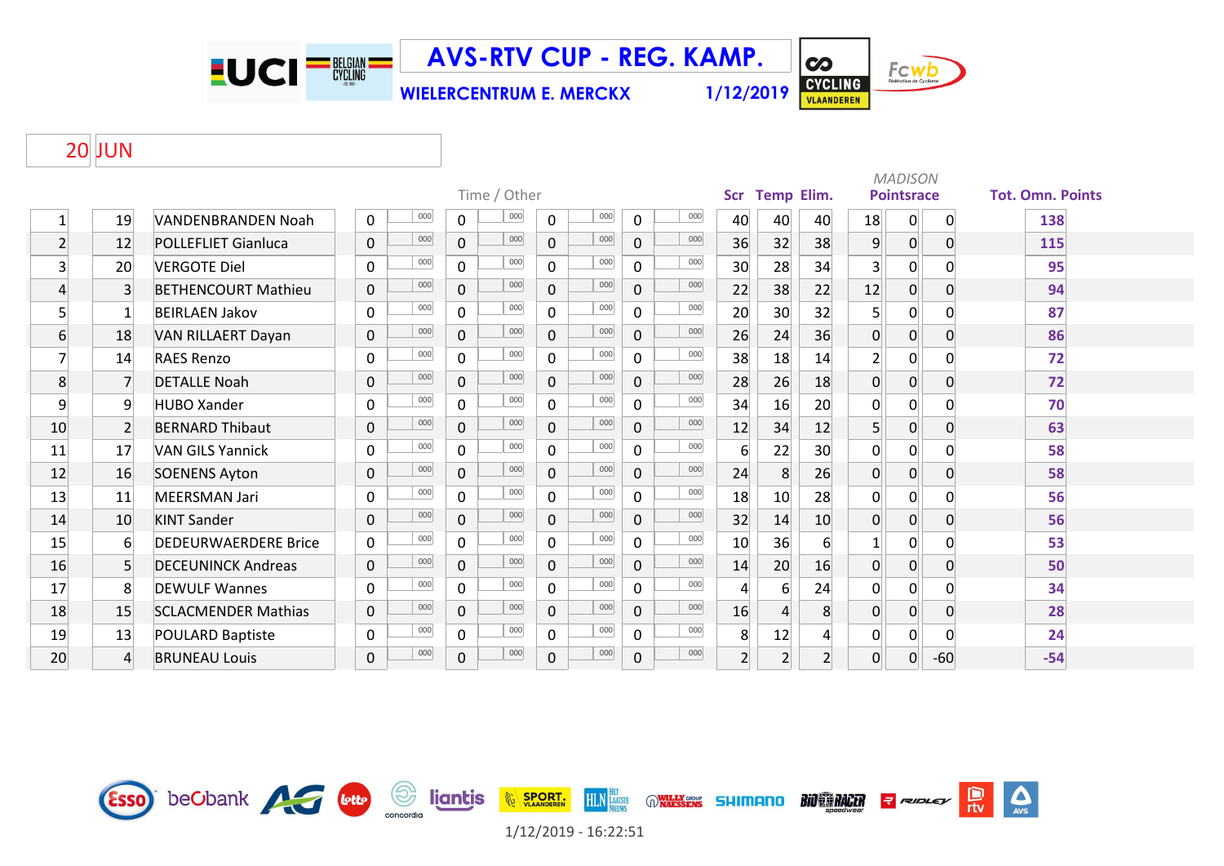EUCI<sup>-N</sup>

Esso beCbank A Guy

**AVS-RTV CUP - REG. KAMP.**

**WIELERCENTRUM E. MERCKX 1/12/2019**



**CO** 

Fcwb

## JUN

|                | Time / Other   |                             |                     |     |                |     |                |     |              |     |                |                |                                 | <b>MADISON</b><br><b>Pointsrace</b> |                |       | <b>Tot. Omn. Points</b> |  |
|----------------|----------------|-----------------------------|---------------------|-----|----------------|-----|----------------|-----|--------------|-----|----------------|----------------|---------------------------------|-------------------------------------|----------------|-------|-------------------------|--|
|                |                |                             |                     |     |                |     |                |     |              |     |                |                | <b>Temp Elim.</b><br><b>Scr</b> |                                     |                |       |                         |  |
| $\mathbf{1}$   | 19             | <b>VANDENBRANDEN Noah</b>   | $\mathbf 0$         | 000 | 0              | 000 | $\mathbf 0$    | 000 | 0            | 000 | 40             | 40             | 40                              | 18                                  | 0              | 0     | 138                     |  |
| $\overline{2}$ | 12             | <b>POLLEFLIET Gianluca</b>  | $\pmb{0}$           | 000 | $\mathbf 0$    | 000 | $\mathbf 0$    | 000 | $\mathbf 0$  | 000 | 36             | 32             | 38                              | $\overline{9}$                      | $\overline{0}$ | 0     | 115                     |  |
| 3              | 20             | <b>VERGOTE Diel</b>         | 0                   | 000 | $\Omega$       | 000 | $\mathbf 0$    | 000 | $\Omega$     | 000 | 30             | 28             | 34                              | 3                                   | $\overline{0}$ |       | 95                      |  |
| 4              | $\overline{3}$ | <b>BETHENCOURT Mathieu</b>  | 0                   | 000 | $\overline{0}$ | 000 | 0              | 000 | 0            | 000 | 22             | 38             | 22                              | 12                                  | 0              | 0     | 94                      |  |
| 5              | $\mathbf{1}$   | <b>BEIRLAEN Jakov</b>       | $\mathbf 0$         | 000 | $\mathbf{0}$   | 000 | $\mathbf 0$    | 000 | $\Omega$     | 000 | 20             | 30             | 32                              | 5                                   | $\Omega$       |       | 87                      |  |
| 6              | 18             | VAN RILLAERT Dayan          | 0                   | 000 | $\mathbf 0$    | 000 | 0              | 000 | $\mathbf{0}$ | 000 | 26             | 24             | 36                              | $\overline{0}$                      | $\overline{0}$ | 0     | 86                      |  |
| 7              | 14             | <b>RAES Renzo</b>           | $\mathbf 0$         | 000 | $\Omega$       | 000 | $\mathbf 0$    | 000 | $\Omega$     | 000 | 38             | 18             | 14                              | $\overline{2}$                      | 0              |       | 72                      |  |
| 8              | $\overline{7}$ | <b>DETALLE Noah</b>         | 0                   | 000 | $\mathbf 0$    | 000 | $\mathbf 0$    | 000 | 0            | 000 | 28             | 26             | 18                              | $\overline{0}$                      | 0              | 0     | 72                      |  |
| 9              | 9              | <b>HUBO Xander</b>          | $\mathbf 0$         | 000 | 0              | 000 | $\mathsf{O}$   | 000 | 0            | 000 | 34             | 16             | 20                              | $\mathbf 0$                         | 0              |       | 70                      |  |
| 10             | $\overline{2}$ | <b>BERNARD Thibaut</b>      | 0                   | 000 | $\overline{0}$ | 000 | $\overline{0}$ | 000 | $\mathbf 0$  | 000 | 12             | 34             | 12                              | 5                                   | 0              | 0     | 63                      |  |
| 11             | 17             | <b>VAN GILS Yannick</b>     | $\mathbf 0$         | 000 | $\mathbf 0$    | 000 | $\mathbf 0$    | 000 | 0            | 000 | 6              | 22             | 30                              | $\overline{0}$                      | 0              | O     | 58                      |  |
| 12             | 16             | <b>SOENENS Ayton</b>        | 0                   | 000 | $\overline{0}$ | 000 | $\overline{0}$ | 000 | 0            | 000 | 24             | 8              | 26                              | $\overline{0}$                      | 0              | 0     | 58                      |  |
| 13             | 11             | <b>MEERSMAN Jari</b>        | $\mathbf 0$         | 000 | $\overline{0}$ | 000 | $\mathsf{O}$   | 000 | 0            | 000 | 18             | 10             | 28                              | $\mathbf 0$                         | 0              |       | 56                      |  |
| 14             | 10             | <b>KINT Sander</b>          | $\mathsf{O}\xspace$ | 000 | $\overline{0}$ | 000 | $\overline{0}$ | 000 | 0            | 000 | 32             | 14             | 10                              | $\overline{0}$                      | $\overline{0}$ | 0     | 56                      |  |
| 15             | 6              | <b>DEDEURWAERDERE Brice</b> | $\mathbf 0$         | 000 | $\Omega$       | 000 | $\mathbf 0$    | 000 | 0            | 000 | 10             | 36             | 6                               |                                     | $\Omega$       |       | 53                      |  |
| 16             | 5 <sup>1</sup> | <b>DECEUNINCK Andreas</b>   | 0                   | 000 | $\overline{0}$ | 000 | $\mathbf 0$    | 000 | 0            | 000 | 14             | 20             | 16                              | $\overline{0}$                      | $\overline{0}$ | 0     | 50                      |  |
| 17             | 8              | <b>DEWULF Wannes</b>        | 0                   | 000 | $\Omega$       | 000 | $\mathbf{0}$   | 000 | 0            | 000 | $\overline{4}$ | 6              | 24                              | $\mathbf{0}$                        | $\overline{0}$ |       | 34                      |  |
| 18             | 15             | <b>SCLACMENDER Mathias</b>  | 0                   | 000 | $\mathbf 0$    | 000 | $\overline{0}$ | 000 | 0            | 000 | 16             | $\overline{4}$ | 8                               | $\overline{0}$                      | $\overline{0}$ | 0     | 28                      |  |
| 19             | 13             | <b>POULARD Baptiste</b>     | 0                   | 000 | $\mathbf 0$    | 000 | $\overline{0}$ | 000 | 0            | 000 | 8              | 12             | Λ                               | $\mathbf 0$                         | 0              |       | 24                      |  |
| 20             | $\overline{4}$ | <b>BRUNEAU Louis</b>        | 0                   | 000 | $\mathbf 0$    | 000 | 0              | 000 | 0            | 000 | $\overline{2}$ | 2 <sup>1</sup> | $\overline{2}$                  | $\overline{0}$                      | $\mathbf 0$    | $-60$ | $-54$                   |  |

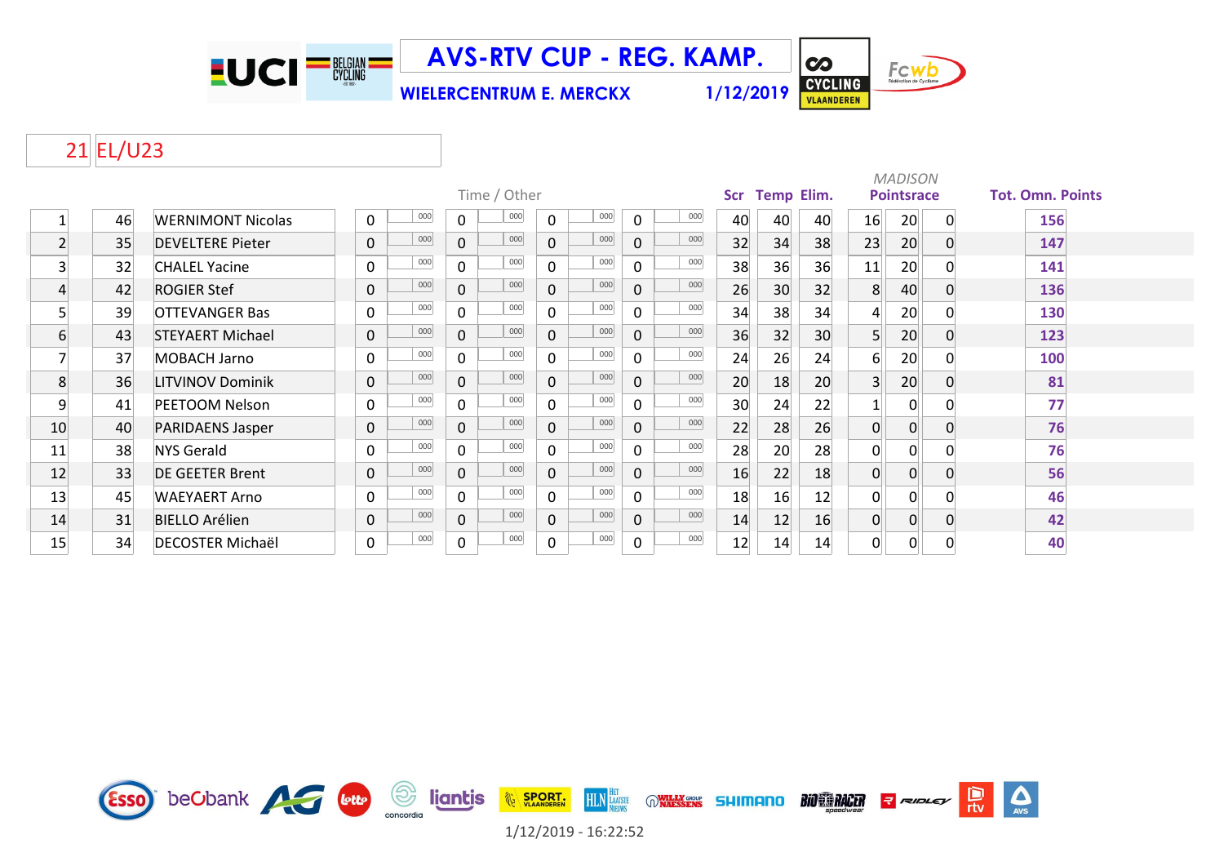

**AVS-RTV CUP - REG. KAMP.**

**WIELERCENTRUM E. MERCKX 1/12/2019**



## 21 EL/U23

|                |    |                          |                            |                |              |              |     |              |     |                          | <b>MADISON</b> |                 |                   |             |          |                         |  |  |  |
|----------------|----|--------------------------|----------------------------|----------------|--------------|--------------|-----|--------------|-----|--------------------------|----------------|-----------------|-------------------|-------------|----------|-------------------------|--|--|--|
|                |    |                          |                            |                | Time / Other |              |     |              |     | <b>Temp Elim.</b><br>Scr |                |                 | <b>Pointsrace</b> |             |          | <b>Tot. Omn. Points</b> |  |  |  |
|                | 46 | <b>WERNIMONT Nicolas</b> | 000<br>$\mathbf 0$         | $\mathbf 0$    | 000          | $\mathbf 0$  | 000 | 0            | 000 | 40                       | 40             | 40              | 16                | 20          | 0        | 156                     |  |  |  |
| $\overline{2}$ | 35 | <b>DEVELTERE Pieter</b>  | 000<br>$\mathsf{O}\xspace$ | $\mathbf 0$    | 000          | $\mathbf{0}$ | 000 | $\Omega$     | 000 | 32                       | 34             | 38              | 23                | 20          |          | 147                     |  |  |  |
| 3              | 32 | <b>CHALEL Yacine</b>     | 000<br>$\mathbf 0$         | $\mathbf 0$    | 000          | $\mathbf 0$  | 000 | $\Omega$     | 000 | 38                       | 36             | 36              | 11                | 20          |          | 141                     |  |  |  |
| 4              | 42 | <b>ROGIER Stef</b>       | 000<br>$\mathbf 0$         | $\mathbf 0$    | 000          | $\mathbf 0$  | 000 | $\Omega$     | 000 | 26                       | 30             | 32              | 8                 | 40          | 0        | 136                     |  |  |  |
| 5              | 39 | <b>OTTEVANGER Bas</b>    | 000<br>$\mathbf 0$         | $\mathbf 0$    | 000          | $\mathbf 0$  | 000 | 0            | 000 | 34                       | 38             | 34              | $\overline{4}$    | 20          |          | 130                     |  |  |  |
| 6              | 43 | <b>STEYAERT Michael</b>  | 000<br>$\mathbf 0$         | $\mathbf 0$    | 000          | $\mathbf 0$  | 000 | 0            | 000 | 36                       | 32             | 30 <sup>°</sup> | 5                 | 20          | 0        | 123                     |  |  |  |
|                | 37 | MOBACH Jarno             | 000<br>$\mathbf 0$         | $\mathbf 0$    | 000          | $\mathbf 0$  | 000 | $\Omega$     | 000 | 24                       | 26             | 24              | 6                 | 20          |          | 100                     |  |  |  |
| 8              | 36 | <b>LITVINOV Dominik</b>  | 000<br>$\mathsf{O}\xspace$ | $\mathbf 0$    | 000          | $\mathbf 0$  | 000 | 0            | 000 | 20                       | 18             | 20              | $\overline{3}$    | 20          | 0        | 81                      |  |  |  |
| 9              | 41 | <b>PEETOOM Nelson</b>    | 000<br>$\mathbf 0$         | $\mathbf 0$    | 000          | $\mathbf 0$  | 000 | 0            | 000 | 30                       | 24             | 22              |                   | $\Omega$    |          | 77                      |  |  |  |
| 10             | 40 | PARIDAENS Jasper         | 000<br>$\mathbf 0$         | $\mathbf 0$    | 000          | $\mathbf 0$  | 000 | 0            | 000 | 22                       | 28             | 26              | $\mathbf 0$       | $\mathbf 0$ |          | 76                      |  |  |  |
| 11             | 38 | NYS Gerald               | 000<br>$\mathbf 0$         | $\mathbf 0$    | 000          | $\mathbf 0$  | 000 | 0            | 000 | 28                       | 20             | 28              | 0                 | 0           |          | 76                      |  |  |  |
| 12             | 33 | <b>DE GEETER Brent</b>   | 000<br>$\mathbf 0$         | $\mathbf{0}$   | 000          | $\mathbf{0}$ | 000 | $\mathbf{0}$ | 000 | 16                       | 22             | 18              | $\mathbf 0$       | $\mathbf 0$ | $\Omega$ | 56                      |  |  |  |
| 13             | 45 | <b>WAEYAERT Arno</b>     | 000<br>0                   | 0              | 000          | $\mathbf 0$  | 000 | 0            | 000 | 18                       | 16             | 12              | 0                 | 0           |          | 46                      |  |  |  |
| 14             | 31 | <b>BIELLO Arélien</b>    | 000<br>$\mathbf 0$         | $\overline{0}$ | 000          | $\mathbf 0$  | 000 | 0            | 000 | 14                       | 12             | 16              | $\mathbf 0$       | $\Omega$    | $\Omega$ | 42                      |  |  |  |
| 15             | 34 | <b>DECOSTER Michaël</b>  | 000<br>$\mathbf 0$         | $\pmb{0}$      | 000          | $\mathsf 0$  | 000 | 0            | 000 | 12                       | 14             | 14              | 0                 | 0           | 0        | 40                      |  |  |  |